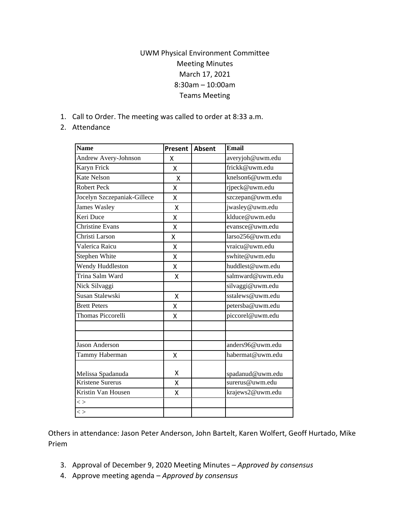## UWM Physical Environment Committee Meeting Minutes March 17, 2021 8:30am – 10:00am Teams Meeting

1. Call to Order. The meeting was called to order at 8:33 a.m.

## 2. Attendance

| <b>Name</b>                 | Present | <b>Absent</b> | <b>Email</b>     |
|-----------------------------|---------|---------------|------------------|
| Andrew Avery-Johnson        | x       |               | averyjoh@uwm.edu |
| Karyn Frick                 | X       |               | frickk@uwm.edu   |
| <b>Kate Nelson</b>          | X       |               | knelson6@uwm.edu |
| <b>Robert Peck</b>          | Χ       |               | rjpeck@uwm.edu   |
| Jocelyn Szczepaniak-Gillece | Χ       |               | szczepan@uwm.edu |
| <b>James Wasley</b>         | X       |               | jwasley@uwm.edu  |
| Keri Duce                   | Χ       |               | klduce@uwm.edu   |
| <b>Christine Evans</b>      | x       |               | evansce@uwm.edu  |
| Christi Larson              | X       |               | larso256@uwm.edu |
| Valerica Raicu              | Χ       |               | vraicu@uwm.edu   |
| Stephen White               | x       |               | swhite@uwm.edu   |
| Wendy Huddleston            | Χ       |               | huddlest@uwm.edu |
| Trina Salm Ward             | Χ       |               | salmward@uwm.edu |
| Nick Silvaggi               |         |               | silvaggi@uwm.edu |
| Susan Stalewski             | Χ       |               | sstalews@uwm.edu |
| <b>Brett Peters</b>         | Χ       |               | petersba@uwm.edu |
| Thomas Piccorelli           | x       |               | piccorel@uwm.edu |
|                             |         |               |                  |
| <b>Jason Anderson</b>       |         |               | anders96@uwm.edu |
| Tammy Haberman              | Χ       |               | habermat@uwm.edu |
| Melissa Spadanuda           | x       |               | spadanud@uwm.edu |
| <b>Kristene Surerus</b>     | x       |               | surerus@uwm.edu  |
| Kristin Van Housen          | х       |               | krajews2@uwm.edu |
| $\lt$                       |         |               |                  |
| $\lt$                       |         |               |                  |

Others in attendance: Jason Peter Anderson, John Bartelt, Karen Wolfert, Geoff Hurtado, Mike Priem

- 3. Approval of December 9, 2020 Meeting Minutes *Approved by consensus*
- 4. Approve meeting agenda *Approved by consensus*